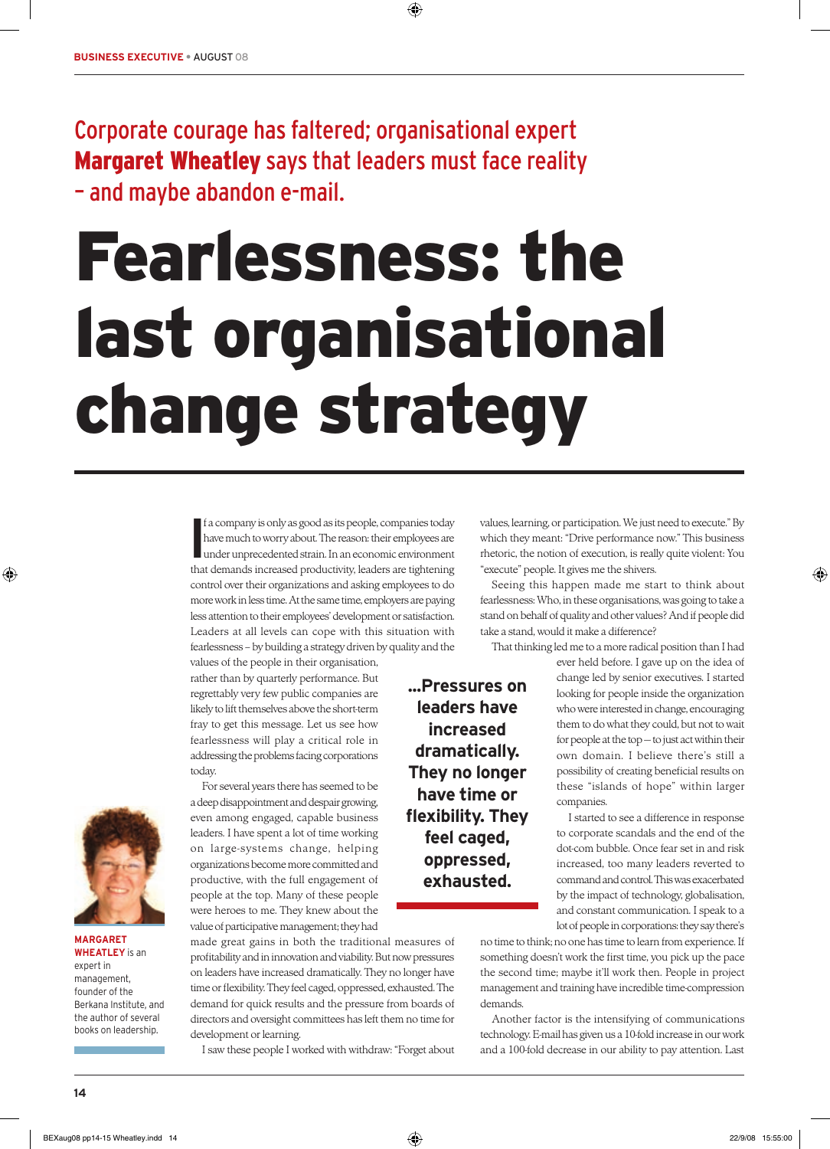## Corporate courage has faltered; organisational expert Margaret Wheatley says that leaders must face reality – and maybe abandon e-mail.

## Fearlessness: the last organisational change strategy

⊕

**I**<br> **I**<br> **I** f a company is only as good as its people, companies today have much to worry about. The reason: their employees are under unprecedented strain. In an economic environment that demands increased productivity, leaders are tightening control over their organizations and asking employees to do more work in less time. At the same time, employers are paying less attention to their employees' development or satisfaction. Leaders at all levels can cope with this situation with fearlessness – by building a strategy driven by quality and the

values of the people in their organisation, rather than by quarterly performance. But regrettably very few public companies are likely to lift themselves above the short-term fray to get this message. Let us see how fearlessness will play a critical role in addressing the problems facing corporations today.



made great gains in both the traditional measures of profitability and in innovation and viability. But now pressures on leaders have increased dramatically. They no longer have time or flexibility. They feel caged, oppressed, exhausted. The demand for quick results and the pressure from boards of directors and oversight committees has left them no time for development or learning.

I saw these people I worked with withdraw: "Forget about

values, learning, or participation. We just need to execute." By which they meant: "Drive performance now." This business rhetoric, the notion of execution, is really quite violent: You "execute" people. It gives me the shivers.

Seeing this happen made me start to think about fearlessness: Who, in these organisations, was going to take a stand on behalf of quality and other values? And if people did take a stand, would it make a difference?

**...Pressures on leaders have increased dramatically. They no longer have time or flexibility. They feel caged, oppressed, exhausted.**

That thinking led me to a more radical position than I had

ever held before. I gave up on the idea of change led by senior executives. I started looking for people inside the organization who were interested in change, encouraging them to do what they could, but not to wait for people at the top — to just act within their own domain. I believe there's still a possibility of creating beneficial results on these "islands of hope" within larger companies.

I started to see a difference in response to corporate scandals and the end of the dot-com bubble. Once fear set in and risk increased, too many leaders reverted to command and control. This was exacerbated by the impact of technology, globalisation, and constant communication. I speak to a lot of people in corporations: they say there's

no time to think; no one has time to learn from experience. If something doesn't work the first time, you pick up the pace the second time; maybe it'll work then. People in project management and training have incredible time-compression demands.

Another factor is the intensifying of communications technology. E-mail has given us a 10-fold increase in our work and a 100-fold decrease in our ability to pay attention. Last



◈

**MARGARET WHEATLEY** is an expert in management, founder of the Berkana Institute, and the author of several books on leadership.

◈